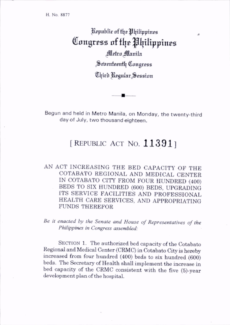H. No. 8877

## l^publtr nf flje ^{jilipp inps Congress of the Philippines Metro Manila Seventeenth Congress ®ljtrh ^gular^^esaton

Begun and held in Metro Manila, on Monday, the twenty-third day of July, two thousand eighteen.

## [REPUBLIC ACT NO.  $11391$ ]

AN ACT INCREASING THE BED CAPACITY OF THE COTABATO REGIONAL AND MEDICAL CENTER IN COTABATO CITY FROM FOUR HUNDRED (400) BEDS TO SIX HUNDRED (600) BEDS, UPGRADING ITS SERVICE FACILITIES AND PROFESSIONAL HEALTH CARE SERVICES, AND APPROPRIATING FUNDS THEREFOR

Be it enacted by the Senate and House of Representatives of the Philippines in Congress assembled:

SECTION 1. The authorized bed capacity of the Cotabato Regional and Medical Center (CRMC) in Cotabato City is hereby increased from four hundred (400) beds to six hundred (600) beds. The Secretary of Health shall implement the increase in bed capacity of the CRMC consistent with the five (5)-year development plan of the hospital.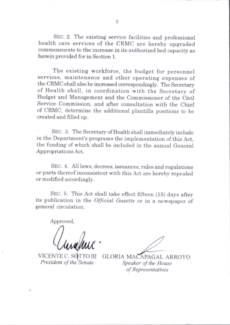Sec. 2. The existing service facilities and professional health care services of the CRMC are hereby upgraded commensurate to the increase in its authorized bed capacity as herein provided for in Section 1.

The existing workforce, the budget for personnel services, m aintenance and other operating expenses of the CRMC shall also be increased correspondingly. The Secretary of Health shall, in coordination with the Secretary of Budget and Management and the Commissioner of the Civil Service Commission, and after consultation with the Chief of CRMC, determine the additional plantilla positions to be created and filled up.

Sec. 3. The Secretary of Health shall immediately include in the Department's programs the implementation of this Act, the funding of which shall be included in the annual General Appropriations Act.

Sec. 4. All laws, decrees, issuances, rules and regulations or parts thereof inconsistent with this Act are hereby repealed or modified accordingly.

Sec. 5. This Act shall take effect fifteen (15) days after its publication in the Official Gazette or in a newspaper of general circulation.

Approved,

President of the Senate

VICENTE C. SQTTO III GLORIA MACAPAGAL ARROYO Speaker of the House of Representatives